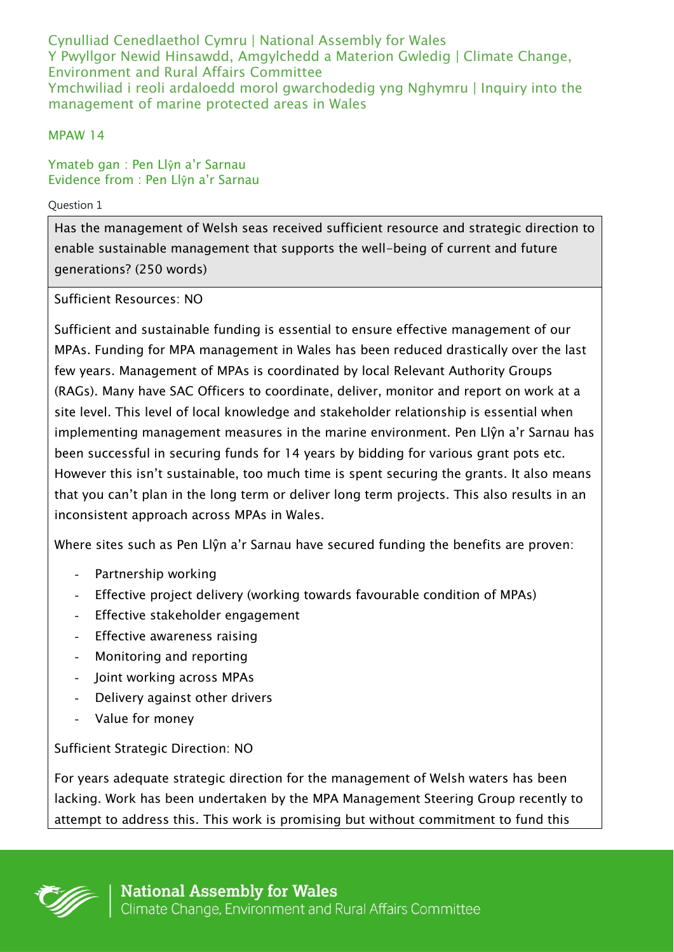Cynulliad Cenedlaethol Cymru | National Assembly for Wales Y Pwyllgor Newid Hinsawdd, Amgylchedd a Materion Gwledig | Climate Change, Environment and Rural Affairs Committee Ymchwiliad i reoli ardaloedd morol gwarchodedig yng Nghymru | Inquiry into the management of marine protected areas in Wales

## MPAW 14

Ymateb gan : Pen Llŷn a'r Sarnau Evidence from : Pen Llŷn a'r Sarnau

## Question 1

Has the management of Welsh seas received sufficient resource and strategic direction to enable sustainable management that supports the well-being of current and future generations? (250 words)

Sufficient Resources: NO

Sufficient and sustainable funding is essential to ensure effective management of our MPAs. Funding for MPA management in Wales has been reduced drastically over the last few years. Management of MPAs is coordinated by local Relevant Authority Groups (RAGs). Many have SAC Officers to coordinate, deliver, monitor and report on work at a site level. This level of local knowledge and stakeholder relationship is essential when implementing management measures in the marine environment. Pen Llŷn a'r Sarnau has been successful in securing funds for 14 years by bidding for various grant pots etc. However this isn't sustainable, too much time is spent securing the grants. It also means that you can't plan in the long term or deliver long term projects. This also results in an inconsistent approach across MPAs in Wales.

Where sites such as Pen Llŷn a'r Sarnau have secured funding the benefits are proven:

- Partnership working
- Effective project delivery (working towards favourable condition of MPAs)
- Effective stakeholder engagement
- Effective awareness raising
- Monitoring and reporting
- Joint working across MPAs
- Delivery against other drivers
- Value for money

Sufficient Strategic Direction: NO

For years adequate strategic direction for the management of Welsh waters has been lacking. Work has been undertaken by the MPA Management Steering Group recently to attempt to address this. This work is promising but without commitment to fund this

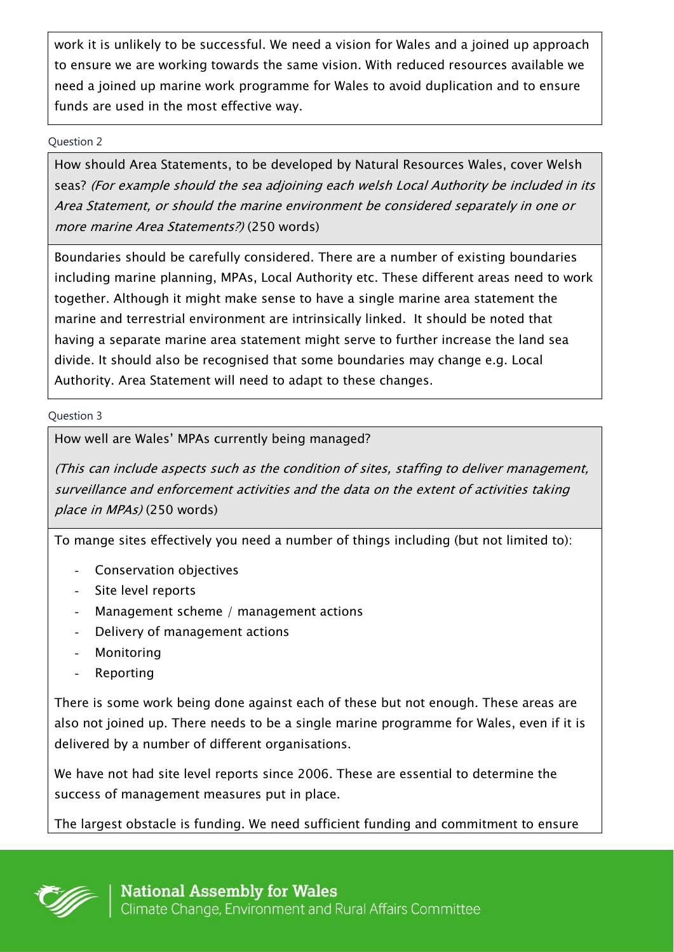work it is unlikely to be successful. We need a vision for Wales and a joined up approach to ensure we are working towards the same vision. With reduced resources available we need a joined up marine work programme for Wales to avoid duplication and to ensure funds are used in the most effective way.

Question 2

How should Area Statements, to be developed by Natural Resources Wales, cover Welsh seas? (For example should the sea adjoining each welsh Local Authority be included in its Area Statement, or should the marine environment be considered separately in one or more marine Area Statements?) (250 words)

Boundaries should be carefully considered. There are a number of existing boundaries including marine planning, MPAs, Local Authority etc. These different areas need to work together. Although it might make sense to have a single marine area statement the marine and terrestrial environment are intrinsically linked. It should be noted that having a separate marine area statement might serve to further increase the land sea divide. It should also be recognised that some boundaries may change e.g. Local Authority. Area Statement will need to adapt to these changes.

Question 3

How well are Wales' MPAs currently being managed?

(This can include aspects such as the condition of sites, staffing to deliver management, surveillance and enforcement activities and the data on the extent of activities taking place in MPAs) (250 words)

To mange sites effectively you need a number of things including (but not limited to):

- Conservation objectives
- Site level reports
- Management scheme / management actions
- Delivery of management actions
- **Monitoring**
- **Reporting**

There is some work being done against each of these but not enough. These areas are also not joined up. There needs to be a single marine programme for Wales, even if it is delivered by a number of different organisations.

We have not had site level reports since 2006. These are essential to determine the success of management measures put in place.

The largest obstacle is funding. We need sufficient funding and commitment to ensure

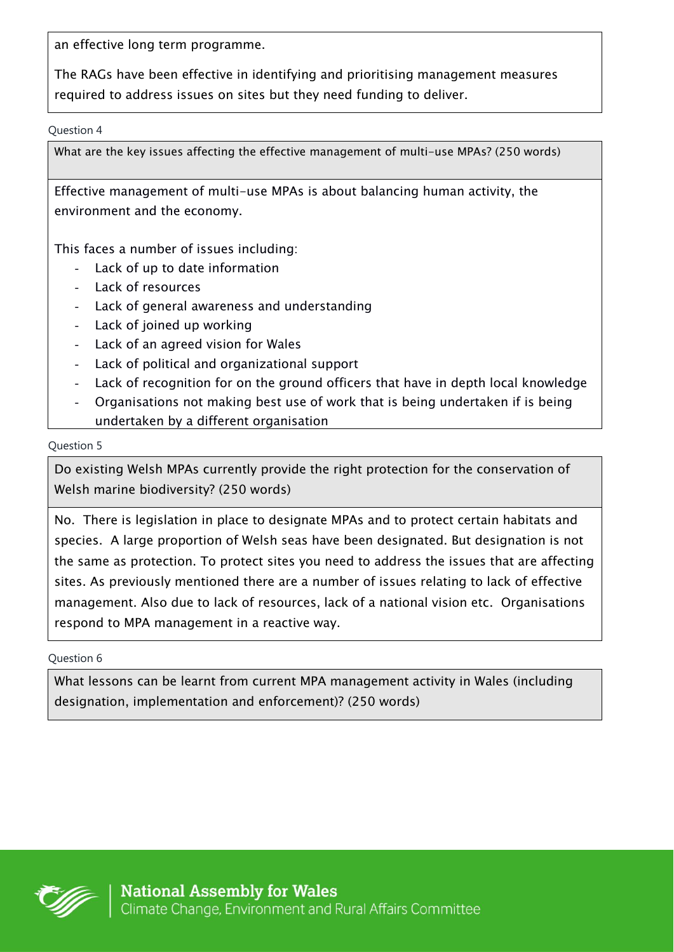an effective long term programme.

The RAGs have been effective in identifying and prioritising management measures required to address issues on sites but they need funding to deliver.

Question 4

What are the key issues affecting the effective management of multi-use MPAs? (250 words)

Effective management of multi-use MPAs is about balancing human activity, the environment and the economy.

This faces a number of issues including:

- Lack of up to date information
- Lack of resources
- Lack of general awareness and understanding
- Lack of joined up working
- Lack of an agreed vision for Wales
- Lack of political and organizational support
- Lack of recognition for on the ground officers that have in depth local knowledge
- Organisations not making best use of work that is being undertaken if is being undertaken by a different organisation

## Question 5

Do existing Welsh MPAs currently provide the right protection for the conservation of Welsh marine biodiversity? (250 words)

No. There is legislation in place to designate MPAs and to protect certain habitats and species. A large proportion of Welsh seas have been designated. But designation is not the same as protection. To protect sites you need to address the issues that are affecting sites. As previously mentioned there are a number of issues relating to lack of effective management. Also due to lack of resources, lack of a national vision etc. Organisations respond to MPA management in a reactive way.

Question 6

What lessons can be learnt from current MPA management activity in Wales (including designation, implementation and enforcement)? (250 words)

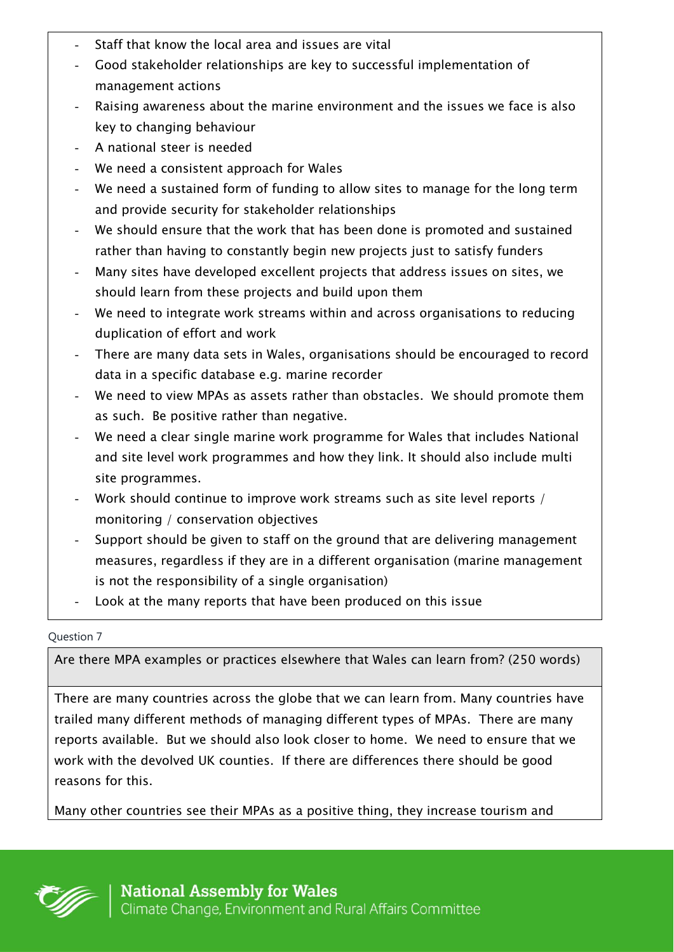- Staff that know the local area and issues are vital
- Good stakeholder relationships are key to successful implementation of management actions
- Raising awareness about the marine environment and the issues we face is also key to changing behaviour
- A national steer is needed
- We need a consistent approach for Wales
- We need a sustained form of funding to allow sites to manage for the long term and provide security for stakeholder relationships
- We should ensure that the work that has been done is promoted and sustained rather than having to constantly begin new projects just to satisfy funders
- Many sites have developed excellent projects that address issues on sites, we should learn from these projects and build upon them
- We need to integrate work streams within and across organisations to reducing duplication of effort and work
- There are many data sets in Wales, organisations should be encouraged to record data in a specific database e.g. marine recorder
- We need to view MPAs as assets rather than obstacles. We should promote them as such. Be positive rather than negative.
- We need a clear single marine work programme for Wales that includes National and site level work programmes and how they link. It should also include multi site programmes.
- Work should continue to improve work streams such as site level reports / monitoring / conservation objectives
- Support should be given to staff on the ground that are delivering management measures, regardless if they are in a different organisation (marine management is not the responsibility of a single organisation)
- Look at the many reports that have been produced on this issue

Question 7

Are there MPA examples or practices elsewhere that Wales can learn from? (250 words)

There are many countries across the globe that we can learn from. Many countries have trailed many different methods of managing different types of MPAs. There are many reports available. But we should also look closer to home. We need to ensure that we work with the devolved UK counties. If there are differences there should be good reasons for this.

Many other countries see their MPAs as a positive thing, they increase tourism and